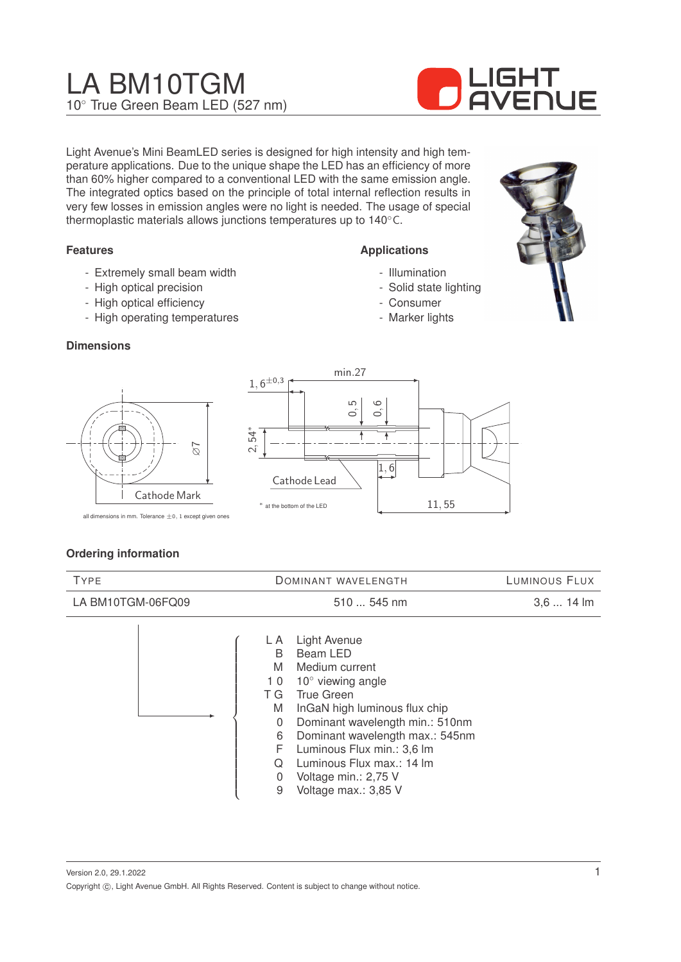# LA BM10TGM 10◦ True Green Beam LED (527 nm)



Light Avenue's Mini BeamLED series is designed for high intensity and high temperature applications. Due to the unique shape the LED has an efficiency of more than 60% higher compared to a conventional LED with the same emission angle. The integrated optics based on the principle of total internal reflection results in very few losses in emission angles were no light is needed. The usage of special thermoplastic materials allows junctions temperatures up to 140◦C.

# **Features**

- Extremely small beam width
- High optical precision
- High optical efficiency
- High operating temperatures

#### **Dimensions**





**Applications**

- Illumination - Solid state lighting

- Consumer - Marker lights

all dimensions in mm. Tolerance  $\pm 0$ , 1 except given ones

#### **Ordering information**

| <b>TYPE</b>       | DOMINANT WAVELENGTH                                                                                                                                                                                                                                                                                                                                                                    | LUMINOUS FLUX |
|-------------------|----------------------------------------------------------------------------------------------------------------------------------------------------------------------------------------------------------------------------------------------------------------------------------------------------------------------------------------------------------------------------------------|---------------|
| LA BM10TGM-06FQ09 | 510  545 nm                                                                                                                                                                                                                                                                                                                                                                            | $3,614$ lm    |
|                   | <b>Light Avenue</b><br>L A<br>Beam LED<br>B<br>M<br>Medium current<br>$10^{\circ}$ viewing angle<br>10<br><b>True Green</b><br>ТG<br>InGaN high luminous flux chip<br>M<br>Dominant wavelength min.: 510nm<br>0<br>Dominant wavelength max.: 545nm<br>6<br>F<br>Luminous Flux min.: 3,6 lm<br>Luminous Flux max.: 14 Im<br>Q<br>Voltage min.: 2,75 V<br>0<br>Voltage max.: 3,85 V<br>9 |               |

- 0 Voltage min.: 2,75 V
- 9 Voltage max.: 3,85 V

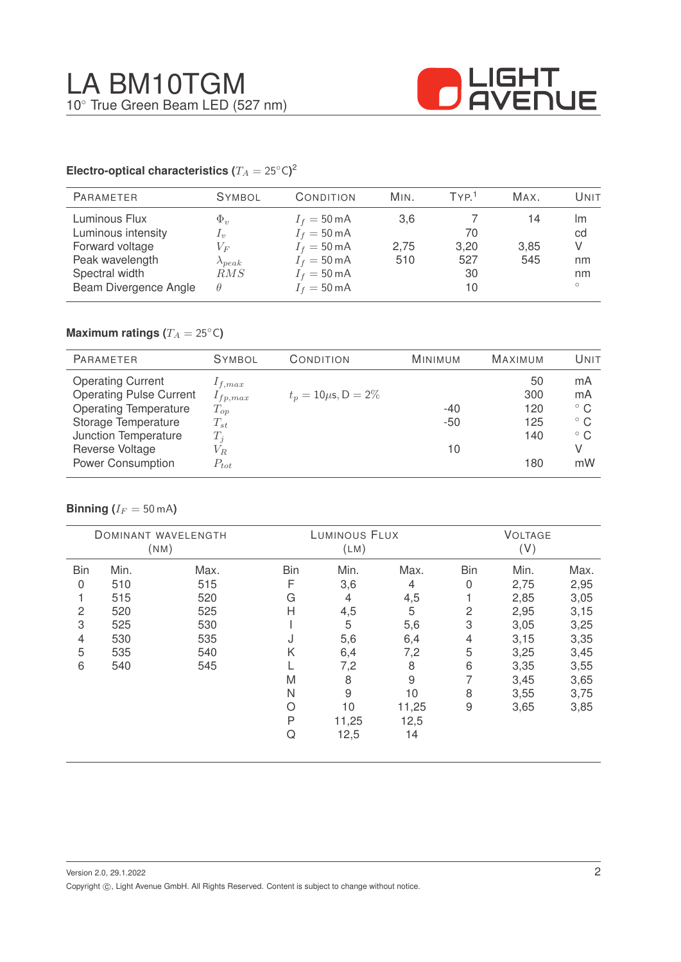

# **Electro-optical characteristics (T\_A = 25^{\circ} \text{C}</math>)<sup>2</sup>**

| <b>PARAMETER</b>                                                                                                     | <b>SYMBOL</b>                                                          | CONDITION                                                                                                                                          | MIN.               | TYP <sup>1</sup>              | MAX.              | Unit                                 |
|----------------------------------------------------------------------------------------------------------------------|------------------------------------------------------------------------|----------------------------------------------------------------------------------------------------------------------------------------------------|--------------------|-------------------------------|-------------------|--------------------------------------|
| Luminous Flux<br>Luminous intensity<br>Forward voltage<br>Peak wavelength<br>Spectral width<br>Beam Divergence Angle | $\Phi_v$<br>$I_{\eta}$<br>$V_F$<br>$\lambda_{peak}$<br>RMS<br>$\theta$ | $I_f = 50 \text{ mA}$<br>$I_f = 50 \text{ mA}$<br>$I_f = 50 \text{ mA}$<br>$I_f = 50 \text{ mA}$<br>$I_f = 50 \text{ mA}$<br>$I_f = 50 \text{ mA}$ | 3,6<br>2,75<br>510 | 70<br>3,20<br>527<br>30<br>10 | 14<br>3,85<br>545 | Im<br>cd<br>V<br>nm<br>nm<br>$\circ$ |

# **Maximum ratings (** $T_A = 25$ °C)

| <b>PARAMETER</b>               | <b>SYMBOL</b> | CONDITION                 | <b>MINIMUM</b> | <b>MAXIMUM</b> | UNIT         |
|--------------------------------|---------------|---------------------------|----------------|----------------|--------------|
| <b>Operating Current</b>       | $I_{f,max}$   |                           |                | 50             | mA           |
| <b>Operating Pulse Current</b> | $I_{fp,max}$  | $t_p = 10 \mu s$ , D = 2% |                | 300            | mA           |
| <b>Operating Temperature</b>   | $T_{op}$      |                           | $-40$          | 120            | $^{\circ}$ C |
| Storage Temperature            | $T_{st}$      |                           | $-50$          | 125            | $^{\circ}$ C |
| Junction Temperature           | $T_i$         |                           |                | 140            | $^{\circ}$ C |
| Reverse Voltage                | $V_{R.}$      |                           | 10             |                | V            |
| <b>Power Consumption</b>       | $P_{tot}$     |                           |                | 180            | mW           |

# **Binning** ( $I_F = 50$  mA)

|            |      | DOMINANT WAVELENGTH<br>(MM) |            | LUMINOUS FLUX<br>(LM) |             |                | <b>VOLTAGE</b><br>(V) |      |
|------------|------|-----------------------------|------------|-----------------------|-------------|----------------|-----------------------|------|
| <b>Bin</b> | Min. | Max.                        | <b>Bin</b> | Min.                  | Max.        | <b>Bin</b>     | Min.                  | Max. |
| 0          | 510  | 515                         | F          | 3,6                   | 4           | 0              | 2,75                  | 2,95 |
|            | 515  | 520                         | G          | 4                     | 4,5         |                | 2,85                  | 3,05 |
| 2          | 520  | 525                         | Н          | 4,5                   | 5           | $\overline{c}$ | 2,95                  | 3,15 |
| 3          | 525  | 530                         |            | 5                     | 5,6         | 3              | 3,05                  | 3,25 |
| 4          | 530  | 535                         | J          | 5,6                   | 6,4         | 4              | 3,15                  | 3,35 |
| 5          | 535  | 540                         | Κ          | 6,4                   | 7,2         | 5              | 3,25                  | 3,45 |
| 6          | 540  | 545                         |            | 7,2                   | 8           | 6              | 3,35                  | 3,55 |
|            |      |                             | M          | 8                     | $\mathsf 9$ | 7              | 3,45                  | 3,65 |
|            |      |                             | Ν          | $\overline{9}$        | 10          | 8              | 3,55                  | 3,75 |
|            |      |                             | Ο          | 10                    | 11,25       | $\mathsf 9$    | 3,65                  | 3,85 |
|            |      |                             | P          | 11,25                 | 12,5        |                |                       |      |
|            |      |                             | Q          | 12,5                  | 14          |                |                       |      |
|            |      |                             |            |                       |             |                |                       |      |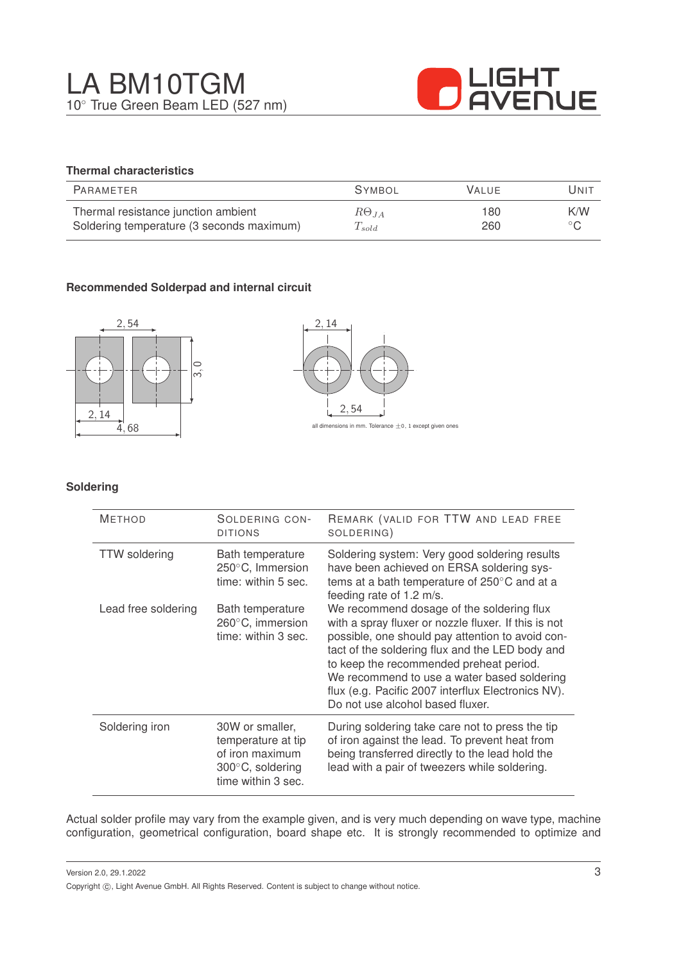

# **Thermal characteristics**

| PARAMETER                                 | <b>SYMBOL</b>        | <b>VALUE</b> | UNIT           |
|-------------------------------------------|----------------------|--------------|----------------|
| Thermal resistance junction ambient       | $R\Theta_{JA}$       | 180          | K/W            |
| Soldering temperature (3 seconds maximum) | $\mathcal{L}_{sold}$ | 260          | $\circ$ $\cap$ |

# **Recommended Solderpad and internal circuit**





#### **Soldering**

| <b>METHOD</b>        | SOLDERING CON-<br><b>DITIONS</b>                                                                   | REMARK (VALID FOR TTW AND LEAD FREE<br>SOLDERING)                                                                                                                                                                                                                                                                                                                                            |
|----------------------|----------------------------------------------------------------------------------------------------|----------------------------------------------------------------------------------------------------------------------------------------------------------------------------------------------------------------------------------------------------------------------------------------------------------------------------------------------------------------------------------------------|
| <b>TTW</b> soldering | Bath temperature<br>250°C, Immersion<br>time: within 5 sec.                                        | Soldering system: Very good soldering results<br>have been achieved on ERSA soldering sys-<br>tems at a bath temperature of 250°C and at a<br>feeding rate of 1.2 m/s.                                                                                                                                                                                                                       |
| Lead free soldering  | Bath temperature<br>260°C, immersion<br>time: within 3 sec.                                        | We recommend dosage of the soldering flux<br>with a spray fluxer or nozzle fluxer. If this is not<br>possible, one should pay attention to avoid con-<br>tact of the soldering flux and the LED body and<br>to keep the recommended preheat period.<br>We recommend to use a water based soldering<br>flux (e.g. Pacific 2007 interflux Electronics NV).<br>Do not use alcohol based fluxer. |
| Soldering iron       | 30W or smaller,<br>temperature at tip<br>of iron maximum<br>300°C, soldering<br>time within 3 sec. | During soldering take care not to press the tip<br>of iron against the lead. To prevent heat from<br>being transferred directly to the lead hold the<br>lead with a pair of tweezers while soldering.                                                                                                                                                                                        |

Actual solder profile may vary from the example given, and is very much depending on wave type, machine configuration, geometrical configuration, board shape etc. It is strongly recommended to optimize and

Version 2.0, 29.1.2022 Copyright  $\circled{c}$ , Light Avenue GmbH. All Rights Reserved. Content is subject to change without notice.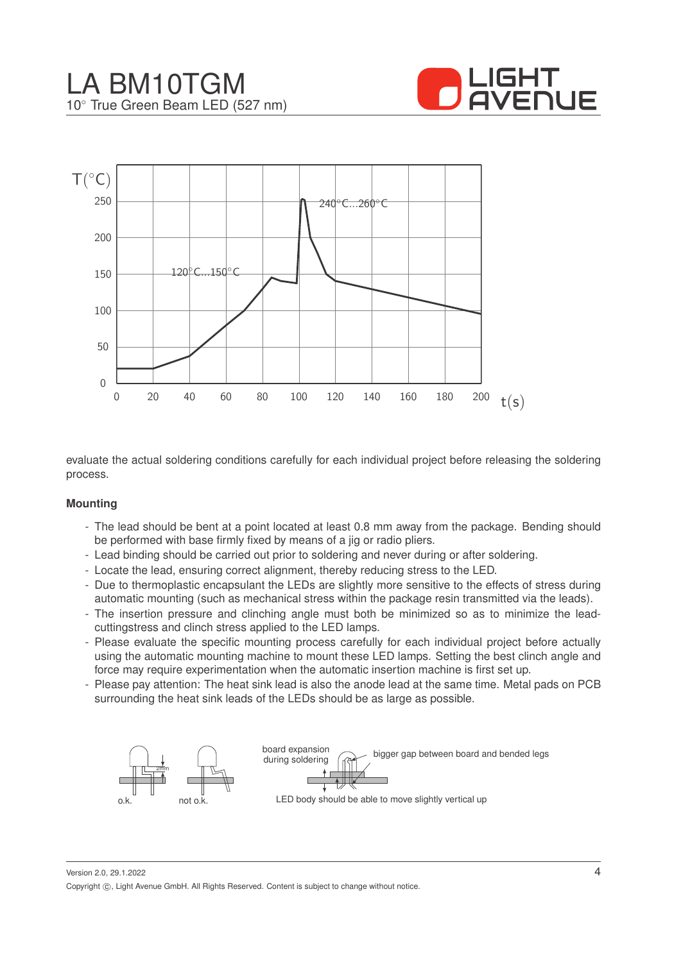



evaluate the actual soldering conditions carefully for each individual project before releasing the soldering process.

#### **Mounting**

- The lead should be bent at a point located at least 0.8 mm away from the package. Bending should be performed with base firmly fixed by means of a jig or radio pliers.
- Lead binding should be carried out prior to soldering and never during or after soldering.
- Locate the lead, ensuring correct alignment, thereby reducing stress to the LED.
- Due to thermoplastic encapsulant the LEDs are slightly more sensitive to the effects of stress during automatic mounting (such as mechanical stress within the package resin transmitted via the leads).
- The insertion pressure and clinching angle must both be minimized so as to minimize the leadcuttingstress and clinch stress applied to the LED lamps.
- Please evaluate the specific mounting process carefully for each individual project before actually using the automatic mounting machine to mount these LED lamps. Setting the best clinch angle and force may require experimentation when the automatic insertion machine is first set up.
- Please pay attention: The heat sink lead is also the anode lead at the same time. Metal pads on PCB surrounding the heat sink leads of the LEDs should be as large as possible.



Version 2.0, 29.1.2022 Copyright ©, Light Avenue GmbH. All Rights Reserved. Content is subject to change without notice.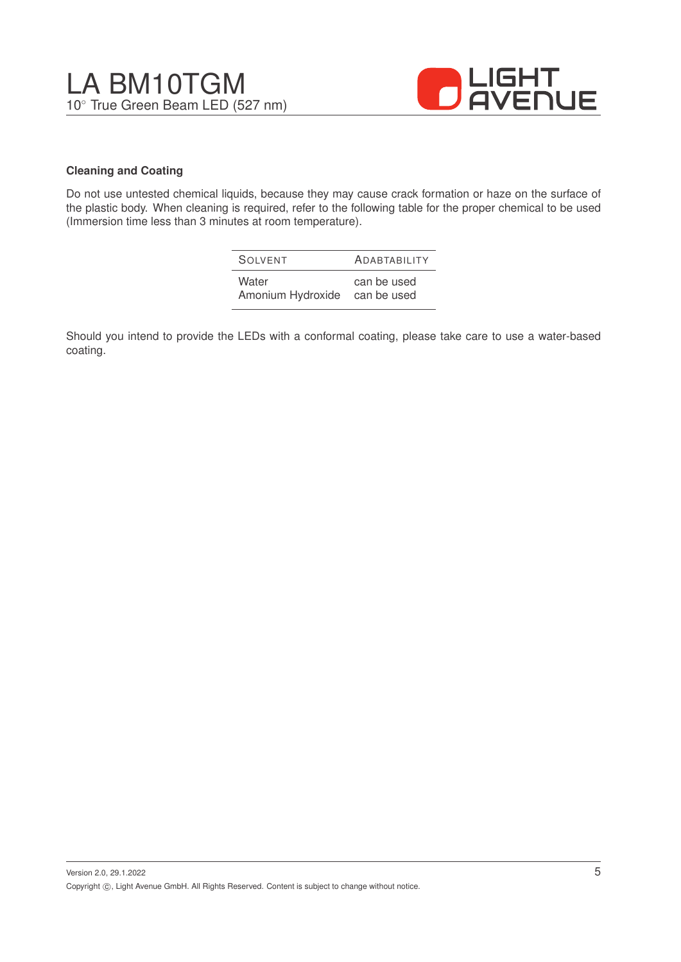

# **Cleaning and Coating**

Do not use untested chemical liquids, because they may cause crack formation or haze on the surface of the plastic body. When cleaning is required, refer to the following table for the proper chemical to be used (Immersion time less than 3 minutes at room temperature).

| SOIVENT           | <b>ADABTABILITY</b> |
|-------------------|---------------------|
| Water             | can be used         |
| Amonium Hydroxide | can be used         |

Should you intend to provide the LEDs with a conformal coating, please take care to use a water-based coating.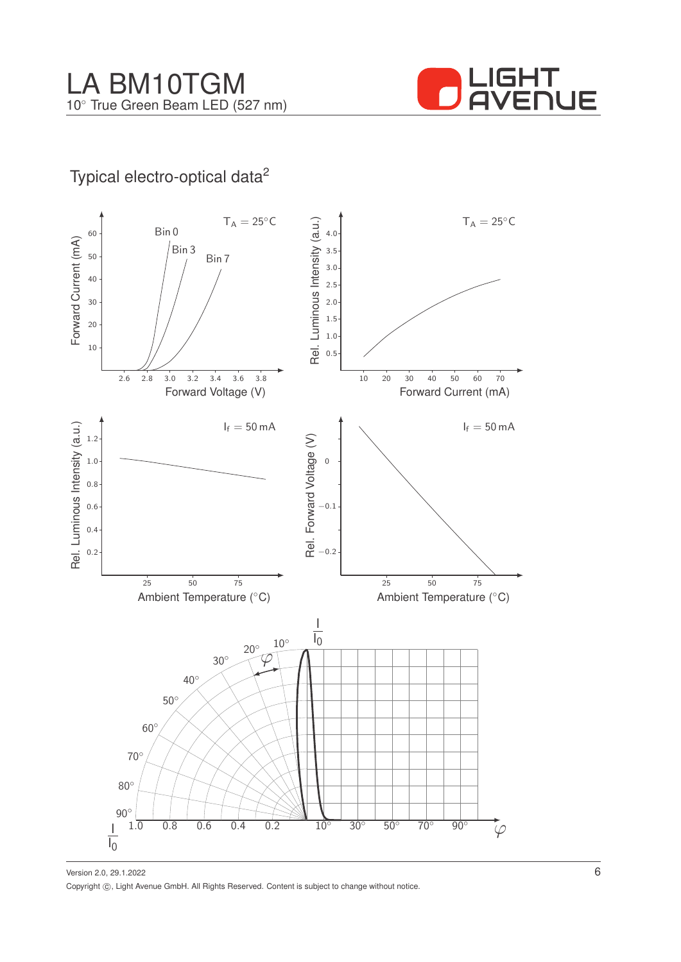

# Typical electro-optical data<sup>2</sup>



Version 2.0, 29.1.2022 Copyright ©, Light Avenue GmbH. All Rights Reserved. Content is subject to change without notice.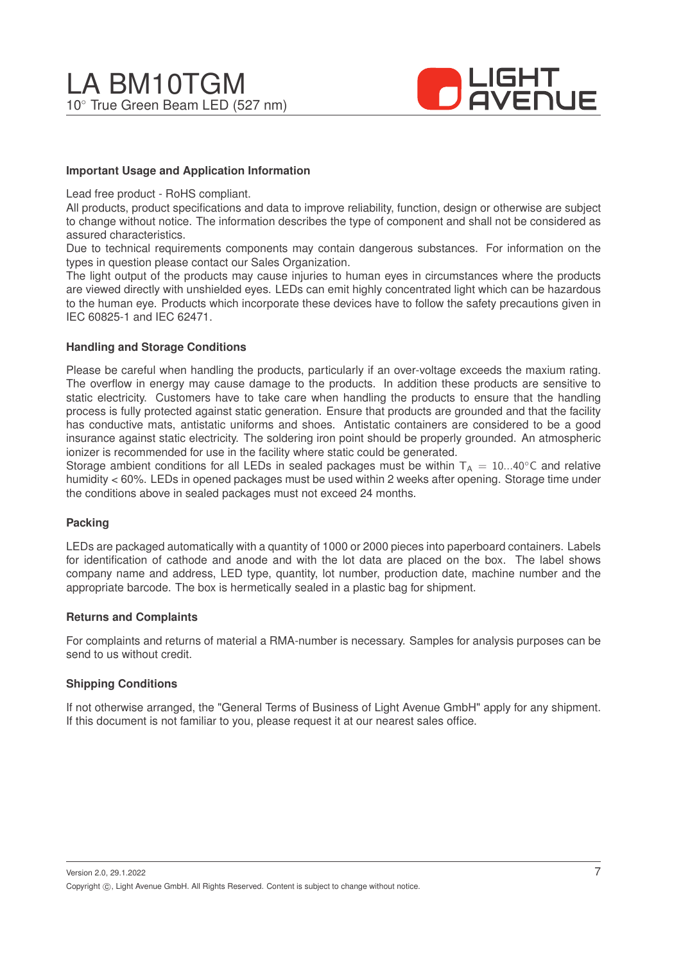

### **Important Usage and Application Information**

Lead free product - RoHS compliant.

All products, product specifications and data to improve reliability, function, design or otherwise are subject to change without notice. The information describes the type of component and shall not be considered as assured characteristics.

Due to technical requirements components may contain dangerous substances. For information on the types in question please contact our Sales Organization.

The light output of the products may cause injuries to human eyes in circumstances where the products are viewed directly with unshielded eyes. LEDs can emit highly concentrated light which can be hazardous to the human eye. Products which incorporate these devices have to follow the safety precautions given in IEC 60825-1 and IEC 62471.

#### **Handling and Storage Conditions**

Please be careful when handling the products, particularly if an over-voltage exceeds the maxium rating. The overflow in energy may cause damage to the products. In addition these products are sensitive to static electricity. Customers have to take care when handling the products to ensure that the handling process is fully protected against static generation. Ensure that products are grounded and that the facility has conductive mats, antistatic uniforms and shoes. Antistatic containers are considered to be a good insurance against static electricity. The soldering iron point should be properly grounded. An atmospheric ionizer is recommended for use in the facility where static could be generated.

Storage ambient conditions for all LEDs in sealed packages must be within  $T_A = 10...40^\circ$ C and relative humidity < 60%. LEDs in opened packages must be used within 2 weeks after opening. Storage time under the conditions above in sealed packages must not exceed 24 months.

#### **Packing**

LEDs are packaged automatically with a quantity of 1000 or 2000 pieces into paperboard containers. Labels for identification of cathode and anode and with the lot data are placed on the box. The label shows company name and address, LED type, quantity, lot number, production date, machine number and the appropriate barcode. The box is hermetically sealed in a plastic bag for shipment.

#### **Returns and Complaints**

For complaints and returns of material a RMA-number is necessary. Samples for analysis purposes can be send to us without credit.

#### **Shipping Conditions**

If not otherwise arranged, the "General Terms of Business of Light Avenue GmbH" apply for any shipment. If this document is not familiar to you, please request it at our nearest sales office.